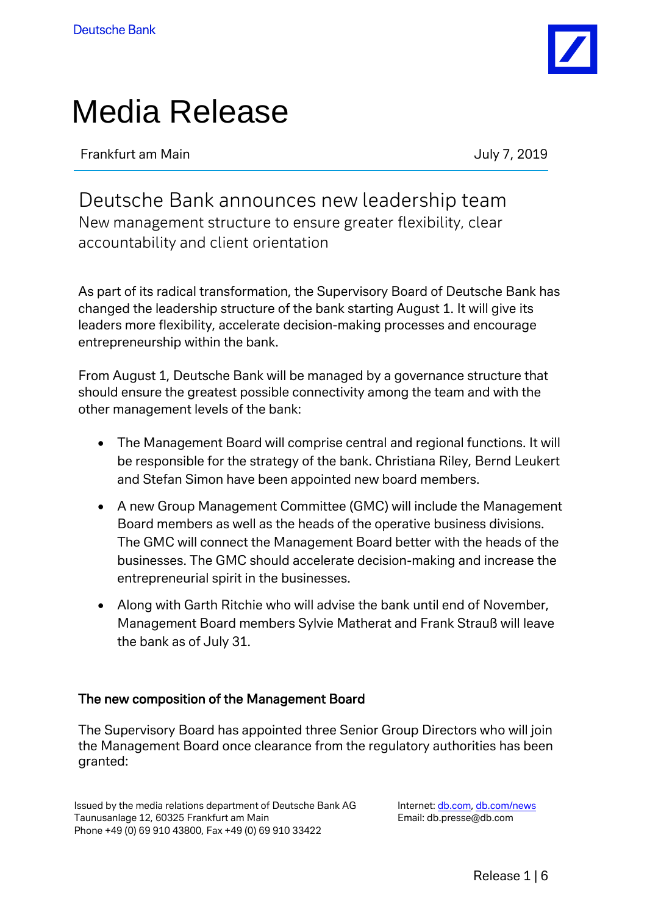

# Media Release

Frankfurt am Main **Frankfurt am Main** 

Deutsche Bank announces new leadership team New management structure to ensure greater flexibility, clear accountability and client orientation

As part of its radical transformation, the Supervisory Board of Deutsche Bank has changed the leadership structure of the bank starting August 1. It will give its leaders more flexibility, accelerate decision-making processes and encourage entrepreneurship within the bank.

From August 1, Deutsche Bank will be managed by a governance structure that should ensure the greatest possible connectivity among the team and with the other management levels of the bank:

- The Management Board will comprise central and regional functions. It will be responsible for the strategy of the bank. Christiana Riley, Bernd Leukert and Stefan Simon have been appointed new board members.
- A new Group Management Committee (GMC) will include the Management Board members as well as the heads of the operative business divisions. The GMC will connect the Management Board better with the heads of the businesses. The GMC should accelerate decision-making and increase the entrepreneurial spirit in the businesses.
- Along with Garth Ritchie who will advise the bank until end of November, Management Board members Sylvie Matherat and Frank Strauß will leave the bank as of July 31.

## The new composition of the Management Board

The Supervisory Board has appointed three Senior Group Directors who will join the Management Board once clearance from the regulatory authorities has been granted:

Issued by the media relations department of Deutsche Bank AG Taunusanlage 12, 60325 Frankfurt am Main Phone +49 (0) 69 910 43800, Fax +49 (0) 69 910 33422

Internet: [db.com,](https://www.db.com/) [db.com/news](https://www.db.com/newsroom) Email: db.presse@db.com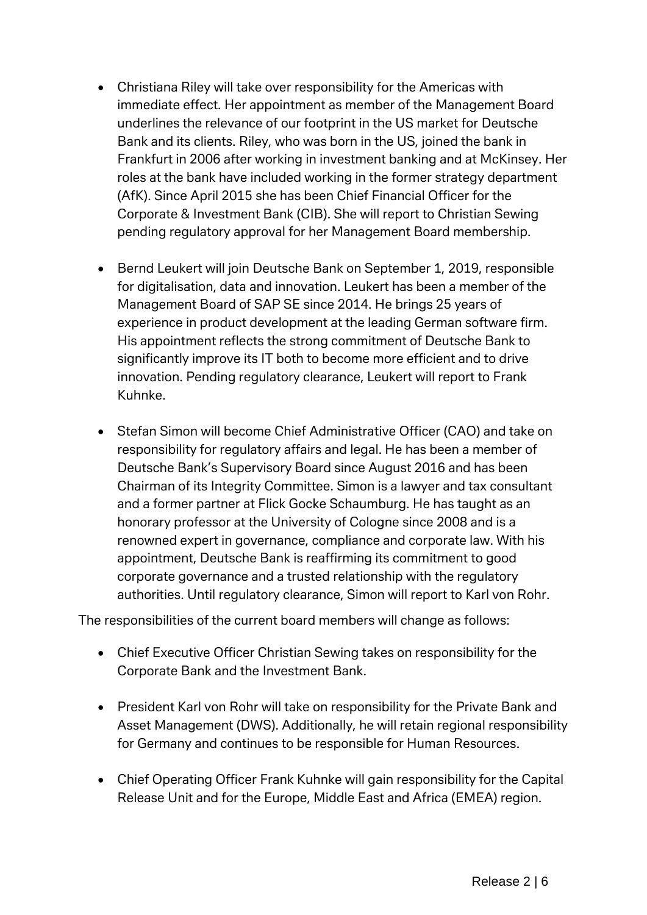- Christiana Riley will take over responsibility for the Americas with immediate effect. Her appointment as member of the Management Board underlines the relevance of our footprint in the US market for Deutsche Bank and its clients. Riley, who was born in the US, joined the bank in Frankfurt in 2006 after working in investment banking and at McKinsey. Her roles at the bank have included working in the former strategy department (AfK). Since April 2015 she has been Chief Financial Officer for the Corporate & Investment Bank (CIB). She will report to Christian Sewing pending regulatory approval for her Management Board membership.
- Bernd Leukert will join Deutsche Bank on September 1, 2019, responsible for digitalisation, data and innovation. Leukert has been a member of the Management Board of SAP SE since 2014. He brings 25 years of experience in product development at the leading German software firm. His appointment reflects the strong commitment of Deutsche Bank to significantly improve its IT both to become more efficient and to drive innovation. Pending regulatory clearance, Leukert will report to Frank Kuhnke.
- Stefan Simon will become Chief Administrative Officer (CAO) and take on responsibility for regulatory affairs and legal. He has been a member of Deutsche Bank's Supervisory Board since August 2016 and has been Chairman of its Integrity Committee. Simon is a lawyer and tax consultant and a former partner at Flick Gocke Schaumburg. He has taught as an honorary professor at the University of Cologne since 2008 and is a renowned expert in governance, compliance and corporate law. With his appointment, Deutsche Bank is reaffirming its commitment to good corporate governance and a trusted relationship with the regulatory authorities. Until regulatory clearance, Simon will report to Karl von Rohr.

The responsibilities of the current board members will change as follows:

- Chief Executive Officer Christian Sewing takes on responsibility for the Corporate Bank and the Investment Bank.
- President Karl von Rohr will take on responsibility for the Private Bank and Asset Management (DWS). Additionally, he will retain regional responsibility for Germany and continues to be responsible for Human Resources.
- Chief Operating Officer Frank Kuhnke will gain responsibility for the Capital Release Unit and for the Europe, Middle East and Africa (EMEA) region.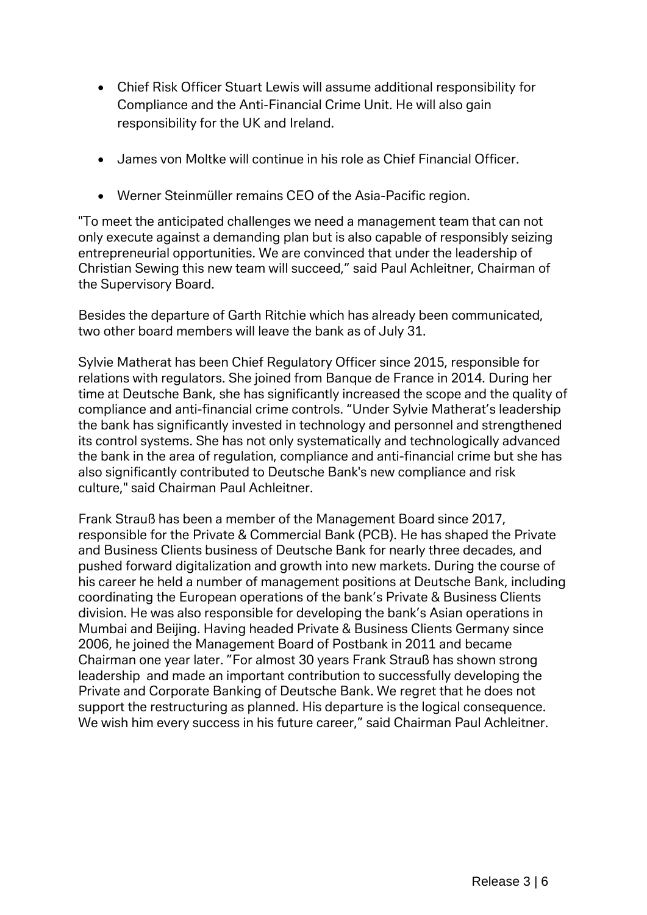- Chief Risk Officer Stuart Lewis will assume additional responsibility for Compliance and the Anti-Financial Crime Unit. He will also gain responsibility for the UK and Ireland.
- James von Moltke will continue in his role as Chief Financial Officer.
- Werner Steinmüller remains CEO of the Asia-Pacific region.

"To meet the anticipated challenges we need a management team that can not only execute against a demanding plan but is also capable of responsibly seizing entrepreneurial opportunities. We are convinced that under the leadership of Christian Sewing this new team will succeed," said Paul Achleitner, Chairman of the Supervisory Board.

Besides the departure of Garth Ritchie which has already been communicated, two other board members will leave the bank as of July 31.

Sylvie Matherat has been Chief Regulatory Officer since 2015, responsible for relations with regulators. She joined from Banque de France in 2014. During her time at Deutsche Bank, she has significantly increased the scope and the quality of compliance and anti-financial crime controls. "Under Sylvie Matherat's leadership the bank has significantly invested in technology and personnel and strengthened its control systems. She has not only systematically and technologically advanced the bank in the area of regulation, compliance and anti-financial crime but she has also significantly contributed to Deutsche Bank's new compliance and risk culture," said Chairman Paul Achleitner.

Frank Strauß has been a member of the Management Board since 2017, responsible for the Private & Commercial Bank (PCB). He has shaped the Private and Business Clients business of Deutsche Bank for nearly three decades, and pushed forward digitalization and growth into new markets. During the course of his career he held a number of management positions at Deutsche Bank, including coordinating the European operations of the bank's Private & Business Clients division. He was also responsible for developing the bank's Asian operations in Mumbai and Beijing. Having headed Private & Business Clients Germany since 2006, he joined the Management Board of Postbank in 2011 and became Chairman one year later. "For almost 30 years Frank Strauß has shown strong leadership and made an important contribution to successfully developing the Private and Corporate Banking of Deutsche Bank. We regret that he does not support the restructuring as planned. His departure is the logical consequence. We wish him every success in his future career," said Chairman Paul Achleitner.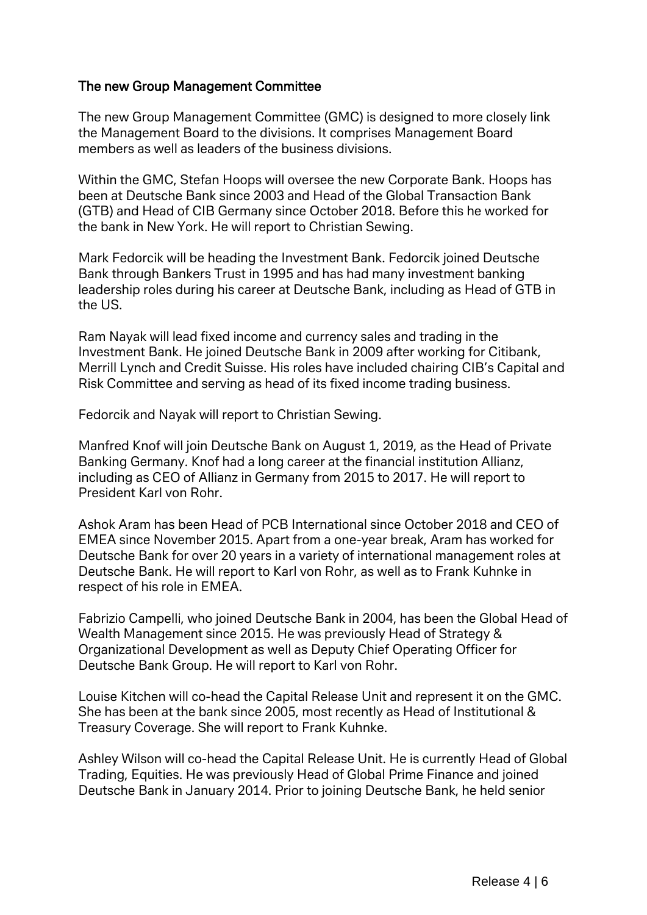### The new Group Management Committee

The new Group Management Committee (GMC) is designed to more closely link the Management Board to the divisions. It comprises Management Board members as well as leaders of the business divisions.

Within the GMC, Stefan Hoops will oversee the new Corporate Bank. Hoops has been at Deutsche Bank since 2003 and Head of the Global Transaction Bank (GTB) and Head of CIB Germany since October 2018. Before this he worked for the bank in New York. He will report to Christian Sewing.

Mark Fedorcik will be heading the Investment Bank. Fedorcik joined Deutsche Bank through Bankers Trust in 1995 and has had many investment banking leadership roles during his career at Deutsche Bank, including as Head of GTB in the US.

Ram Nayak will lead fixed income and currency sales and trading in the Investment Bank. He joined Deutsche Bank in 2009 after working for Citibank, Merrill Lynch and Credit Suisse. His roles have included chairing CIB's Capital and Risk Committee and serving as head of its fixed income trading business.

Fedorcik and Nayak will report to Christian Sewing.

Manfred Knof will join Deutsche Bank on August 1, 2019, as the Head of Private Banking Germany. Knof had a long career at the financial institution Allianz, including as CEO of Allianz in Germany from 2015 to 2017. He will report to President Karl von Rohr.

Ashok Aram has been Head of PCB International since October 2018 and CEO of EMEA since November 2015. Apart from a one-year break, Aram has worked for Deutsche Bank for over 20 years in a variety of international management roles at Deutsche Bank. He will report to Karl von Rohr, as well as to Frank Kuhnke in respect of his role in EMEA.

Fabrizio Campelli, who joined Deutsche Bank in 2004, has been the Global Head of Wealth Management since 2015. He was previously Head of Strategy & Organizational Development as well as Deputy Chief Operating Officer for Deutsche Bank Group. He will report to Karl von Rohr.

Louise Kitchen will co-head the Capital Release Unit and represent it on the GMC. She has been at the bank since 2005, most recently as Head of Institutional & Treasury Coverage. She will report to Frank Kuhnke.

Ashley Wilson will co-head the Capital Release Unit. He is currently Head of Global Trading, Equities. He was previously Head of Global Prime Finance and joined Deutsche Bank in January 2014. Prior to joining Deutsche Bank, he held senior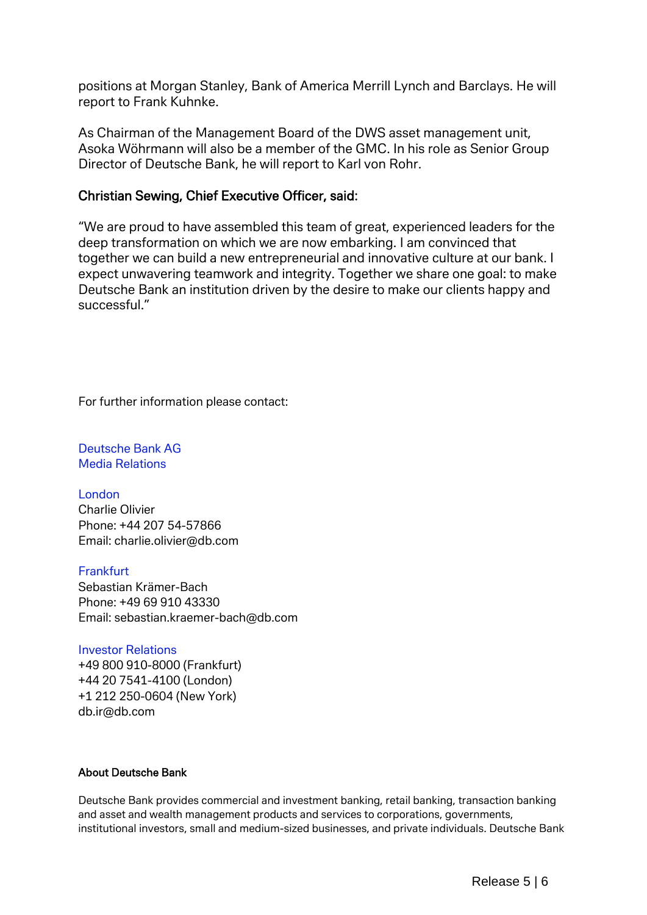positions at Morgan Stanley, Bank of America Merrill Lynch and Barclays. He will report to Frank Kuhnke.

As Chairman of the Management Board of the DWS asset management unit, Asoka Wöhrmann will also be a member of the GMC. In his role as Senior Group Director of Deutsche Bank, he will report to Karl von Rohr.

#### Christian Sewing, Chief Executive Officer, said:

"We are proud to have assembled this team of great, experienced leaders for the deep transformation on which we are now embarking. I am convinced that together we can build a new entrepreneurial and innovative culture at our bank. I expect unwavering teamwork and integrity. Together we share one goal: to make Deutsche Bank an institution driven by the desire to make our clients happy and successful."

For further information please contact:

Deutsche Bank AG Media Relations

London Charlie Olivier Phone: +44 207 54-57866 Email: [charlie.olivier@db.com](mailto:charlie.olivier@db.com)

**Frankfurt** Sebastian Krämer-Bach Phone: +49 69 910 43330 Email: [sebastian.kraemer-bach@db.com](mailto:sebastian.kraemer-bach@db.com)

#### Investor Relations +49 800 910-8000 (Frankfurt)

+44 20 7541-4100 (London) +1 212 250-0604 (New York) db.ir@db.com

#### About Deutsche Bank

Deutsche Bank provides commercial and investment banking, retail banking, transaction banking and asset and wealth management products and services to corporations, governments, institutional investors, small and medium-sized businesses, and private individuals. Deutsche Bank